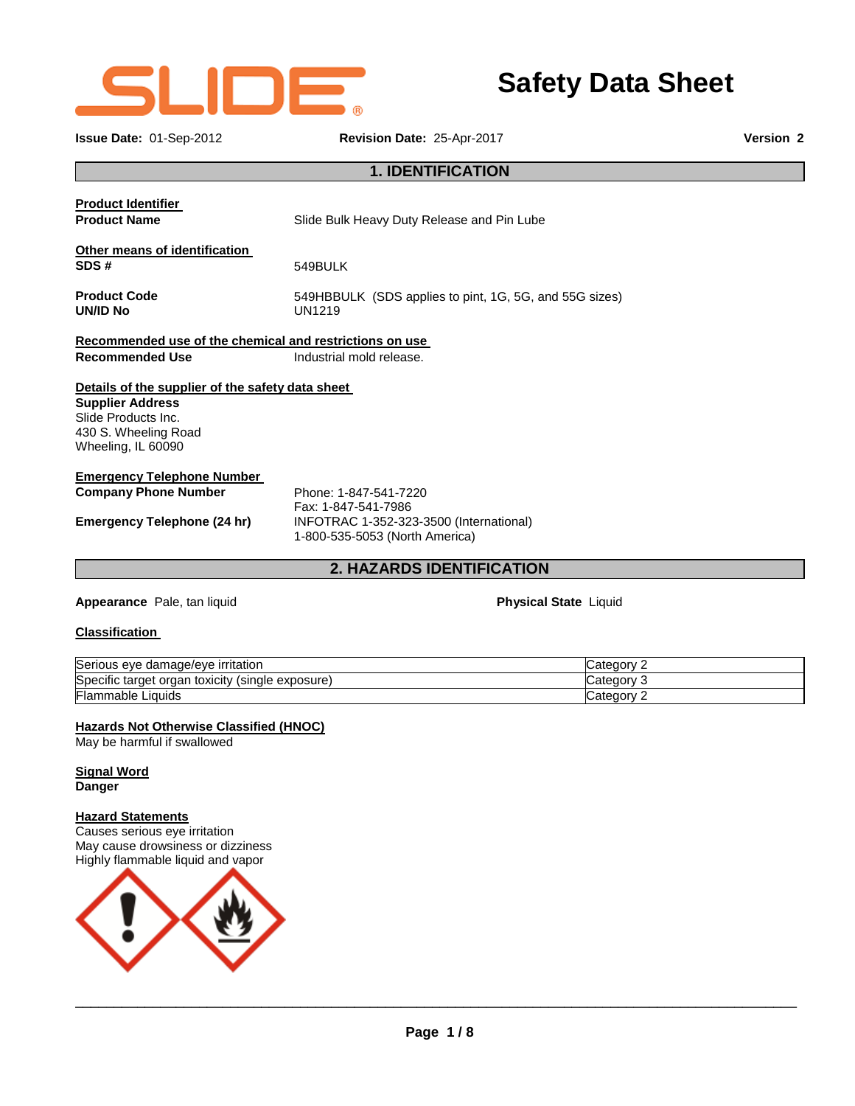

**Issue Date:** 01-Sep-2012 **Revision Date:** 25-Apr-2017 **Version 2**

|                                                         | <b>1. IDENTIFICATION</b>                               |  |  |
|---------------------------------------------------------|--------------------------------------------------------|--|--|
|                                                         |                                                        |  |  |
| <b>Product Identifier</b>                               |                                                        |  |  |
| <b>Product Name</b>                                     | Slide Bulk Heavy Duty Release and Pin Lube             |  |  |
| Other means of identification                           |                                                        |  |  |
| SDS#                                                    | 549BULK                                                |  |  |
| <b>Product Code</b>                                     | 549HBBULK (SDS applies to pint, 1G, 5G, and 55G sizes) |  |  |
| UN/ID No                                                | <b>UN1219</b>                                          |  |  |
| Recommended use of the chemical and restrictions on use |                                                        |  |  |
| <b>Recommended Use</b>                                  | Industrial mold release.                               |  |  |
| Details of the supplier of the safety data sheet        |                                                        |  |  |
| <b>Supplier Address</b>                                 |                                                        |  |  |
| Slide Products Inc.                                     |                                                        |  |  |
| 430 S. Wheeling Road                                    |                                                        |  |  |
| Wheeling, IL 60090                                      |                                                        |  |  |
| <b>Emergency Telephone Number</b>                       |                                                        |  |  |
| <b>Company Phone Number</b>                             | Phone: 1-847-541-7220                                  |  |  |

Fax: 1-847-541-7986 **Emergency Telephone (24 hr)** INFOTRAC 1-352-323-3500 (International) 1-800-535-5053 (North America)

## **2. HAZARDS IDENTIFICATION**

**Appearance Pale, tan liquid <b>Physical State** Liquid **Physical State** Liquid

**Safety Data Sheet**

### **Classification**

| Serious eye damage/eye irritation                       | ' ategory:             |
|---------------------------------------------------------|------------------------|
| Specific target organ toxicity<br>(single)<br>exposure) | ∵ategory:ّ             |
| Flammable Liquids                                       | Category 1<br><u>_</u> |

### **Hazards Not Otherwise Classified (HNOC)**

May be harmful if swallowed

### **Signal Word Danger**

### **Hazard Statements**

Causes serious eye irritation May cause drowsiness or dizziness Highly flammable liquid and vapor

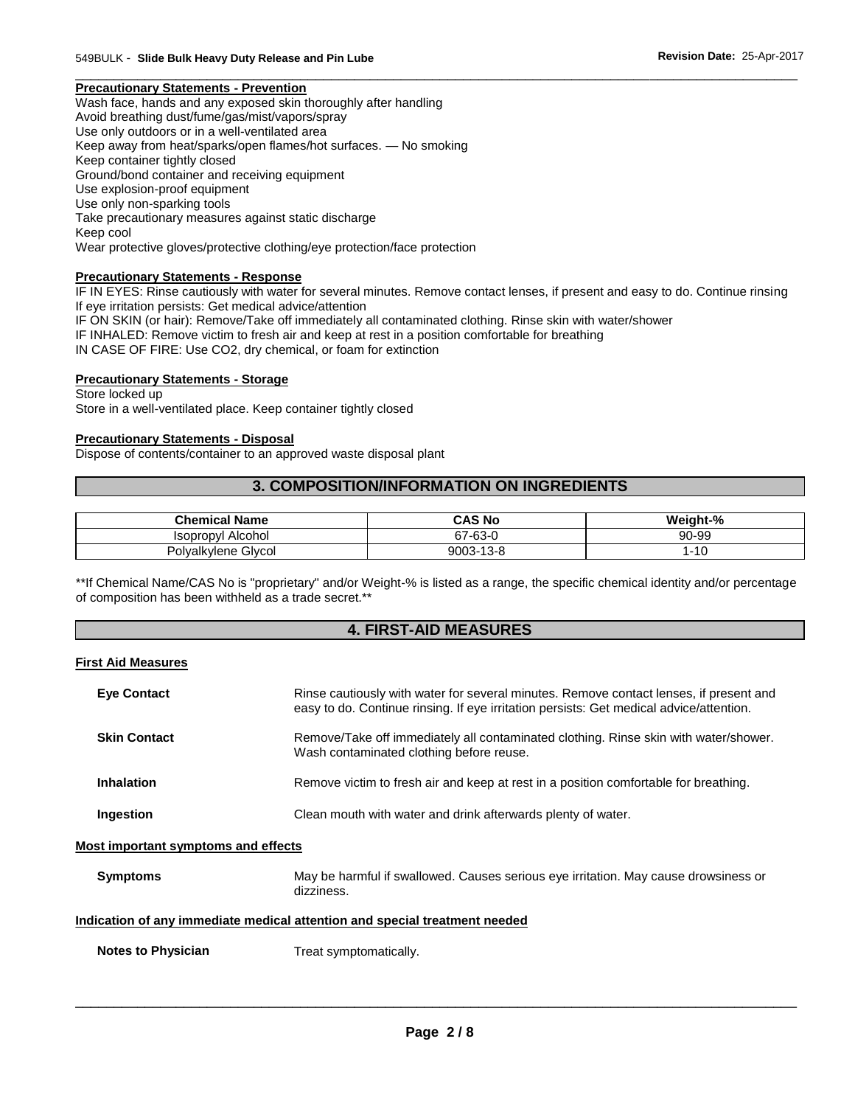#### \_\_\_\_\_\_\_\_\_\_\_\_\_\_\_\_\_\_\_\_\_\_\_\_\_\_\_\_\_\_\_\_\_\_\_\_\_\_\_\_\_\_\_\_\_\_\_\_\_\_\_\_\_\_\_\_\_\_\_\_\_\_\_\_\_\_\_\_\_\_\_\_\_\_\_\_\_\_\_\_\_\_\_\_\_\_\_\_\_\_\_\_\_ **Precautionary Statements - Prevention**

Wash face, hands and any exposed skin thoroughly after handling Avoid breathing dust/fume/gas/mist/vapors/spray Use only outdoors or in a well-ventilated area Keep away from heat/sparks/open flames/hot surfaces. — No smoking Keep container tightly closed Ground/bond container and receiving equipment Use explosion-proof equipment Use only non-sparking tools Take precautionary measures against static discharge Keep cool Wear protective gloves/protective clothing/eye protection/face protection

### **Precautionary Statements - Response**

IF IN EYES: Rinse cautiously with water for several minutes. Remove contact lenses, if present and easy to do. Continue rinsing If eye irritation persists: Get medical advice/attention

IF ON SKIN (or hair): Remove/Take off immediately all contaminated clothing. Rinse skin with water/shower

IF INHALED: Remove victim to fresh air and keep at rest in a position comfortable for breathing

IN CASE OF FIRE: Use CO2, dry chemical, or foam for extinction

### **Precautionary Statements - Storage**

Store locked up Store in a well-ventilated place. Keep container tightly closed

### **Precautionary Statements - Disposal**

Dispose of contents/container to an approved waste disposal plant

### **3. COMPOSITION/INFORMATION ON INGREDIENTS**

| <b>Chemical Name</b>        | <b>CAS No</b> | Weight-% |
|-----------------------------|---------------|----------|
| Alcohol<br><b>Isopropyl</b> | 67-63-0       | 90-99    |
| Polyalkylene Glycol         | 9003-13-8     | $-10$    |

\*\*If Chemical Name/CAS No is "proprietary" and/or Weight-% is listed as a range, the specific chemical identity and/or percentage of composition has been withheld as a trade secret.\*\*

### **4. FIRST-AID MEASURES**

#### **First Aid Measures**

| <b>Eye Contact</b>                  | Rinse cautiously with water for several minutes. Remove contact lenses, if present and<br>easy to do. Continue rinsing. If eye irritation persists: Get medical advice/attention. |
|-------------------------------------|-----------------------------------------------------------------------------------------------------------------------------------------------------------------------------------|
| <b>Skin Contact</b>                 | Remove/Take off immediately all contaminated clothing. Rinse skin with water/shower.<br>Wash contaminated clothing before reuse.                                                  |
| <b>Inhalation</b>                   | Remove victim to fresh air and keep at rest in a position comfortable for breathing.                                                                                              |
| Ingestion                           | Clean mouth with water and drink afterwards plenty of water.                                                                                                                      |
| Most important symptoms and effects |                                                                                                                                                                                   |

| Symptoms | May be harmful if swallowed. Causes serious eye irritation. May cause drowsiness or |
|----------|-------------------------------------------------------------------------------------|
|          | dizziness.                                                                          |

### **Indication of any immediate medical attention and special treatment needed**

**Notes to Physician**  Treat symptomatically.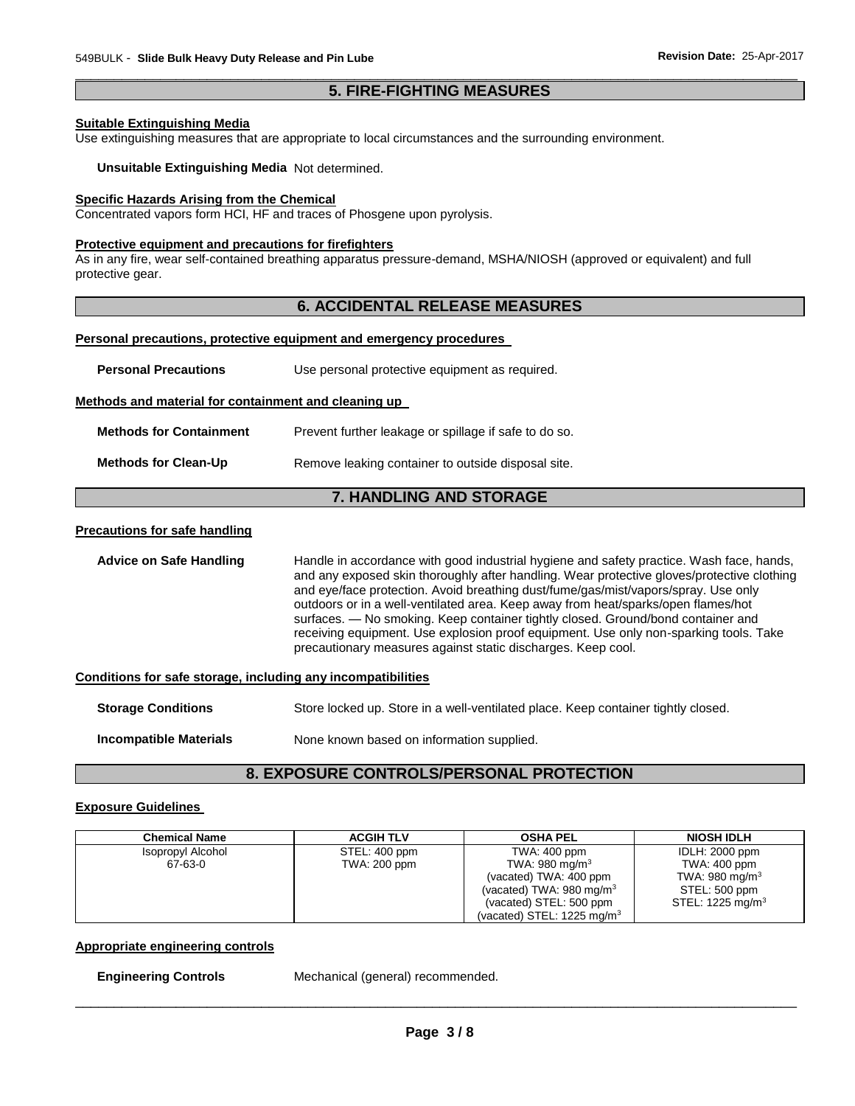### \_\_\_\_\_\_\_\_\_\_\_\_\_\_\_\_\_\_\_\_\_\_\_\_\_\_\_\_\_\_\_\_\_\_\_\_\_\_\_\_\_\_\_\_\_\_\_\_\_\_\_\_\_\_\_\_\_\_\_\_\_\_\_\_\_\_\_\_\_\_\_\_\_\_\_\_\_\_\_\_\_\_\_\_\_\_\_\_\_\_\_\_\_ **5. FIRE-FIGHTING MEASURES**

### **Suitable Extinguishing Media**

Use extinguishing measures that are appropriate to local circumstances and the surrounding environment.

**Unsuitable Extinguishing Media** Not determined.

### **Specific Hazards Arising from the Chemical**

Concentrated vapors form HCI, HF and traces of Phosgene upon pyrolysis.

#### **Protective equipment and precautions for firefighters**

As in any fire, wear self-contained breathing apparatus pressure-demand, MSHA/NIOSH (approved or equivalent) and full protective gear.

### **6. ACCIDENTAL RELEASE MEASURES**

#### **Personal precautions, protective equipment and emergency procedures**

| <b>Personal Precautions</b>                          | Use personal protective equipment as required.                                                                                                                                         |  |  |
|------------------------------------------------------|----------------------------------------------------------------------------------------------------------------------------------------------------------------------------------------|--|--|
| Methods and material for containment and cleaning up |                                                                                                                                                                                        |  |  |
| <b>Methods for Containment</b>                       | Prevent further leakage or spillage if safe to do so.                                                                                                                                  |  |  |
| <b>Methods for Clean-Up</b>                          | Remove leaking container to outside disposal site.                                                                                                                                     |  |  |
|                                                      | <b>7. HANDLING AND STORAGE</b>                                                                                                                                                         |  |  |
| <b>Precautions for safe handling</b>                 |                                                                                                                                                                                        |  |  |
| <b>Advice on Safe Handling</b>                       | Handle in accordance with good industrial hygiene and safety practice. Wash face, hands,<br>and any exposed skin thoroughly after handling. Wear protective gloves/protective clothing |  |  |

ve clothing and eye/face protection. Avoid breathing dust/fume/gas/mist/vapors/spray. Use only outdoors or in a well-ventilated area. Keep away from heat/sparks/open flames/hot surfaces. — No smoking. Keep container tightly closed. Ground/bond container and receiving equipment. Use explosion proof equipment. Use only non-sparking tools. Take precautionary measures against static discharges. Keep cool.

#### **Conditions for safe storage, including any incompatibilities**

| <b>Storage Conditions</b>     | Store locked up. Store in a well-ventilated place. Keep container tightly closed. |
|-------------------------------|-----------------------------------------------------------------------------------|
| <b>Incompatible Materials</b> | None known based on information supplied.                                         |

### **8. EXPOSURE CONTROLS/PERSONAL PROTECTION**

### **Exposure Guidelines**

| <b>Chemical Name</b> | <b>ACGIH TLV</b> | <b>OSHA PEL</b>                                                  | <b>NIOSH IDLH</b>                          |
|----------------------|------------------|------------------------------------------------------------------|--------------------------------------------|
| Isopropyl Alcohol    | STEL: 400 ppm    | TWA: 400 ppm                                                     | <b>IDLH: 2000 ppm</b>                      |
| 67-63-0              | TWA: 200 ppm     | TWA: 980 mg/m $3$<br>(vacated) TWA: 400 ppm                      | TWA: 400 ppm<br>TWA: 980 mg/m <sup>3</sup> |
|                      |                  | (vacated) TWA: $980 \text{ mg/m}^3$                              | STEL: 500 ppm                              |
|                      |                  | (vacated) STEL: 500 ppm<br>(vacated) STEL: $1225 \text{ mg/m}^3$ | STEL: 1225 mg/m $3$                        |
|                      |                  |                                                                  |                                            |

#### **Appropriate engineering controls**

**Engineering Controls** Mechanical (general) recommended.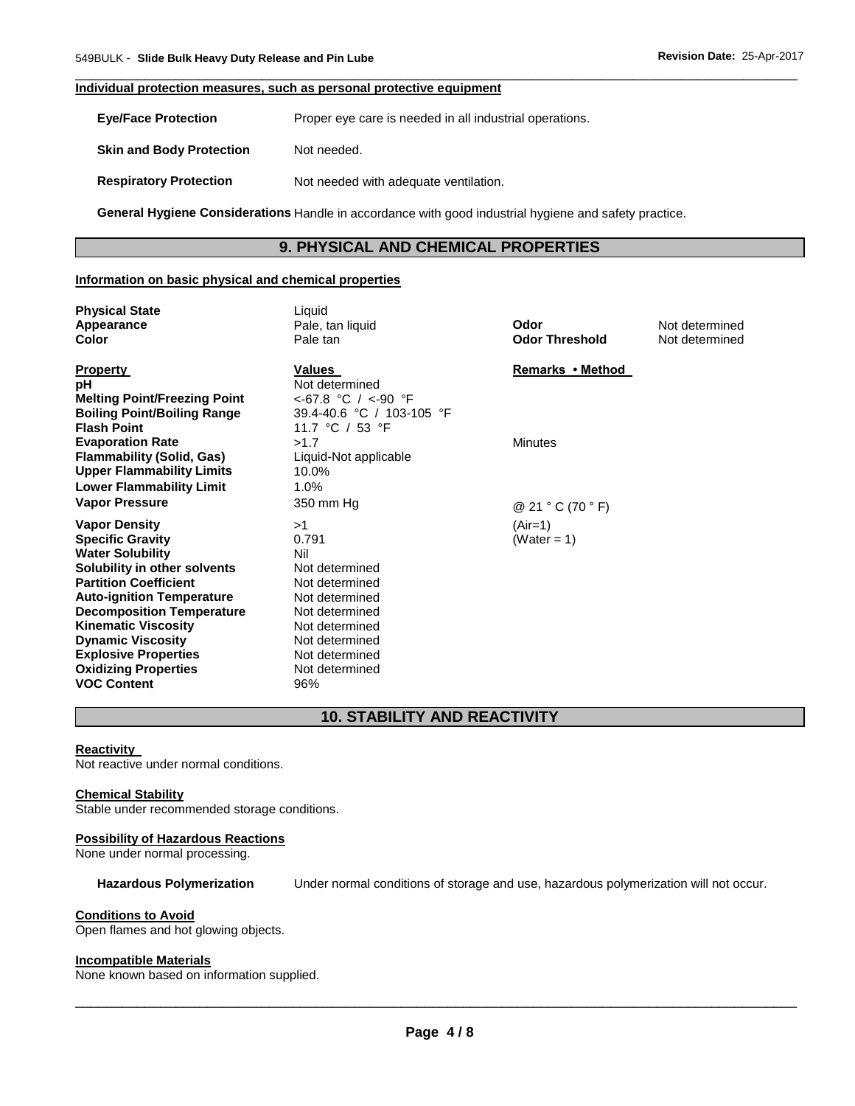### **Individual protection measures, such as personal protective equipment**

**Eye/Face Protection** Proper eye care is needed in all industrial operations.

**Skin and Body Protection** Not needed.

**Respiratory Protection Not needed with adequate ventilation.** 

**General Hygiene Considerations** Handle in accordance with good industrial hygiene and safety practice.

# **9. PHYSICAL AND CHEMICAL PROPERTIES**

\_\_\_\_\_\_\_\_\_\_\_\_\_\_\_\_\_\_\_\_\_\_\_\_\_\_\_\_\_\_\_\_\_\_\_\_\_\_\_\_\_\_\_\_\_\_\_\_\_\_\_\_\_\_\_\_\_\_\_\_\_\_\_\_\_\_\_\_\_\_\_\_\_\_\_\_\_\_\_\_\_\_\_\_\_\_\_\_\_\_\_\_\_

### **Information on basic physical and chemical properties**

| <b>Physical State</b><br>Appearance<br>Color                                                                                                                                                                                                                                                                                                                     | Liquid<br>Pale, tan liquid<br>Pale tan                                                                                                                                    | Odor<br><b>Odor Threshold</b>       | Not determined<br>Not determined |
|------------------------------------------------------------------------------------------------------------------------------------------------------------------------------------------------------------------------------------------------------------------------------------------------------------------------------------------------------------------|---------------------------------------------------------------------------------------------------------------------------------------------------------------------------|-------------------------------------|----------------------------------|
| <b>Property</b><br>рH<br><b>Melting Point/Freezing Point</b><br><b>Boiling Point/Boiling Range</b><br><b>Flash Point</b>                                                                                                                                                                                                                                         | Values<br>Not determined<br>$<$ -67.8 °C / $<$ -90 °F<br>39.4-40.6 °C / 103-105 °F<br>11.7 °C / 53 °F                                                                     | Remarks • Method                    |                                  |
| <b>Evaporation Rate</b><br><b>Flammability (Solid, Gas)</b><br><b>Upper Flammability Limits</b><br><b>Lower Flammability Limit</b><br><b>Vapor Pressure</b>                                                                                                                                                                                                      | >1.7<br>Liquid-Not applicable<br>10.0%<br>1.0%<br>350 mm Hg                                                                                                               | <b>Minutes</b><br>@ 21 ° C (70 ° F) |                                  |
| <b>Vapor Density</b><br><b>Specific Gravity</b><br><b>Water Solubility</b><br>Solubility in other solvents<br><b>Partition Coefficient</b><br><b>Auto-ignition Temperature</b><br><b>Decomposition Temperature</b><br><b>Kinematic Viscosity</b><br><b>Dynamic Viscosity</b><br><b>Explosive Properties</b><br><b>Oxidizing Properties</b><br><b>VOC Content</b> | >1<br>0.791<br>Nil<br>Not determined<br>Not determined<br>Not determined<br>Not determined<br>Not determined<br>Not determined<br>Not determined<br>Not determined<br>96% | $(Air=1)$<br>(Water = 1)            |                                  |

# **10. STABILITY AND REACTIVITY**

### **Reactivity**

Not reactive under normal conditions.

#### **Chemical Stability**

Stable under recommended storage conditions.

### **Possibility of Hazardous Reactions**

None under normal processing.

### **Hazardous Polymerization** Under normal conditions of storage and use, hazardous polymerization will not occur.

### **Conditions to Avoid**

Open flames and hot glowing objects.

### **Incompatible Materials**

None known based on information supplied.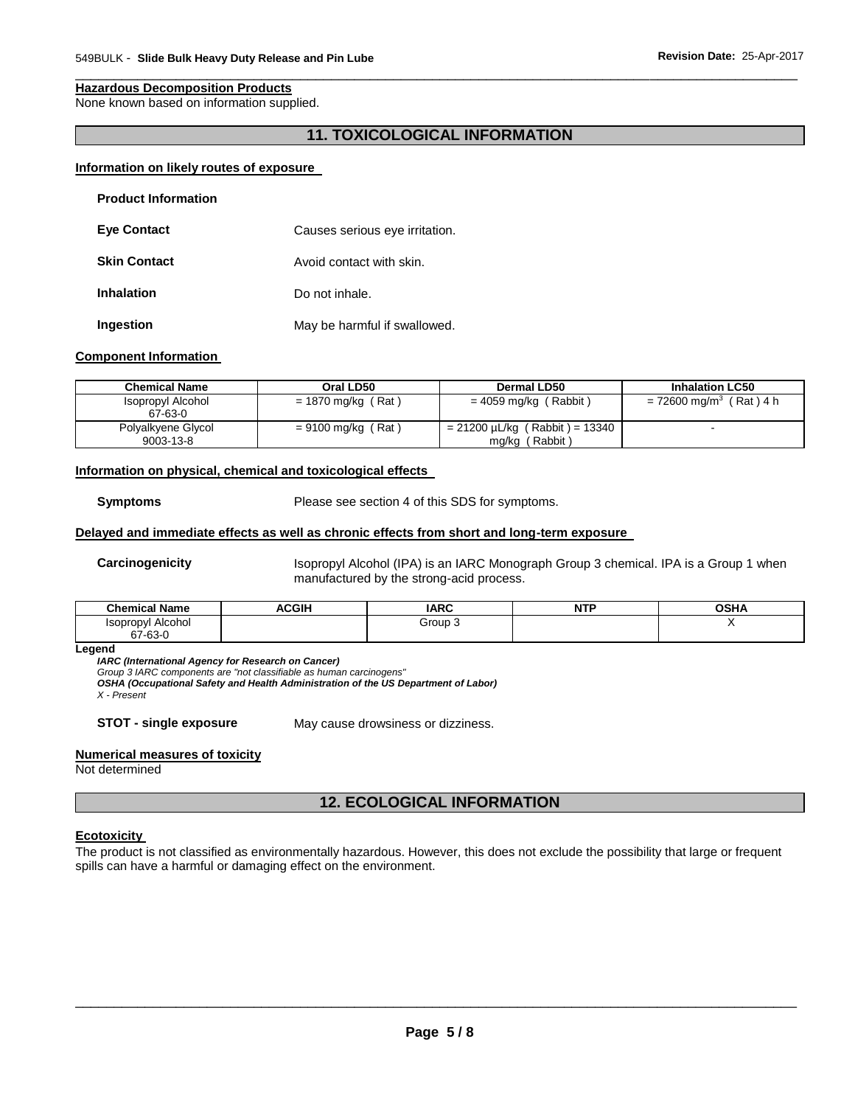#### **Hazardous Decomposition Products**

None known based on information supplied.

### **11. TOXICOLOGICAL INFORMATION**

\_\_\_\_\_\_\_\_\_\_\_\_\_\_\_\_\_\_\_\_\_\_\_\_\_\_\_\_\_\_\_\_\_\_\_\_\_\_\_\_\_\_\_\_\_\_\_\_\_\_\_\_\_\_\_\_\_\_\_\_\_\_\_\_\_\_\_\_\_\_\_\_\_\_\_\_\_\_\_\_\_\_\_\_\_\_\_\_\_\_\_\_\_

#### **Information on likely routes of exposure**

| <b>Product Information</b> |                                |
|----------------------------|--------------------------------|
| <b>Eye Contact</b>         | Causes serious eye irritation. |
| <b>Skin Contact</b>        | Avoid contact with skin.       |
| <b>Inhalation</b>          | Do not inhale.                 |
| Ingestion                  | May be harmful if swallowed.   |

### **Component Information**

| <b>Chemical Name</b>            | Oral LD50            | Dermal LD50                                              | <b>Inhalation LC50</b>              |
|---------------------------------|----------------------|----------------------------------------------------------|-------------------------------------|
| Isopropyl Alcohol<br>67-63-0    | $= 1870$ mg/kg (Rat) | $= 4059$ mg/kg (Rabbit)                                  | = 72600 mg/m <sup>3</sup> (Rat) 4 h |
| Polyalkyene Glycol<br>9003-13-8 | $= 9100$ mg/kg (Rat) | $= 21200 \mu L/kg$ (Rabbit) = 13340<br>(Rabbit)<br>mg/kg |                                     |

#### **Information on physical, chemical and toxicological effects**

**Symptoms** Please see section 4 of this SDS for symptoms.

#### **Delayed and immediate effects as well as chronic effects from short and long-term exposure**

**Carcinogenicity** Isopropyl Alcohol (IPA) is an IARC Monograph Group 3 chemical. IPA is a Group 1 when manufactured by the strong-acid process.

| <b>Chemical Name</b>                   | <b>ACGIH</b> | <b>IARC</b> | <b>NTP</b> | <b>OCUA</b><br>və⊓r |
|----------------------------------------|--------------|-------------|------------|---------------------|
| . .<br>Alcohol<br>.sopropyl<br>67-63-0 |              | Group       |            |                     |

#### **Legend**

*IARC (International Agency for Research on Cancer)*

*Group 3 IARC components are "not classifiable as human carcinogens"* 

*OSHA (Occupational Safety and Health Administration of the US Department of Labor)*

*X - Present* 

**STOT - single exposure** May cause drowsiness or dizziness.

#### **Numerical measures of toxicity**

Not determined

# **12. ECOLOGICAL INFORMATION**

#### **Ecotoxicity**

The product is not classified as environmentally hazardous. However, this does not exclude the possibility that large or frequent spills can have a harmful or damaging effect on the environment.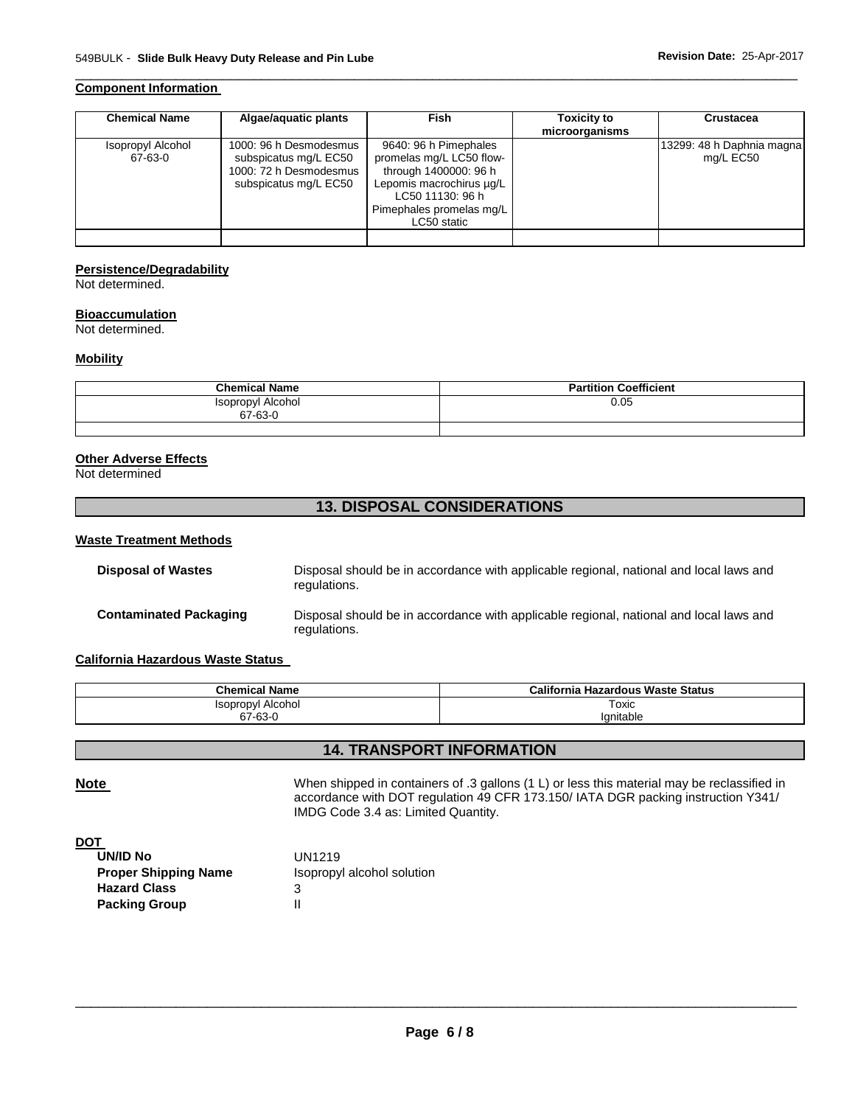### **Component Information**

| <b>Chemical Name</b>         | Algae/aguatic plants                                                                               | <b>Fish</b>                                                                                                                                                           | <b>Toxicity to</b><br>microorganisms | <b>Crustacea</b>                       |
|------------------------------|----------------------------------------------------------------------------------------------------|-----------------------------------------------------------------------------------------------------------------------------------------------------------------------|--------------------------------------|----------------------------------------|
| Isopropyl Alcohol<br>67-63-0 | 1000: 96 h Desmodesmus<br>subspicatus mg/L EC50<br>1000: 72 h Desmodesmus<br>subspicatus mg/L EC50 | 9640: 96 h Pimephales<br>promelas mg/L LC50 flow-<br>through 1400000: 96 h<br>Lepomis macrochirus µg/L<br>LC50 11130: 96 h<br>Pimephales promelas mg/L<br>LC50 static |                                      | 13299: 48 h Daphnia magna<br>mg/L EC50 |
|                              |                                                                                                    |                                                                                                                                                                       |                                      |                                        |

\_\_\_\_\_\_\_\_\_\_\_\_\_\_\_\_\_\_\_\_\_\_\_\_\_\_\_\_\_\_\_\_\_\_\_\_\_\_\_\_\_\_\_\_\_\_\_\_\_\_\_\_\_\_\_\_\_\_\_\_\_\_\_\_\_\_\_\_\_\_\_\_\_\_\_\_\_\_\_\_\_\_\_\_\_\_\_\_\_\_\_\_\_

### **Persistence/Degradability**

Not determined.

### **Bioaccumulation**

Not determined.

### **Mobility**

| <b>Chemical Name</b>         | <b>Partition Coefficient</b> |
|------------------------------|------------------------------|
| Isopropyl Alcohol<br>67-63-0 | 0.05                         |
|                              |                              |

### **Other Adverse Effects**

Not determined

### **13. DISPOSAL CONSIDERATIONS**

### **Waste Treatment Methods**

| Disposal of Wastes     | Disposal should be in accordance with applicable regional, national and local laws and<br>regulations. |
|------------------------|--------------------------------------------------------------------------------------------------------|
| Contaminated Packaging | Disposal should be in accordance with applicable regional, national and local laws and<br>regulations. |

### **California Hazardous Waste Status**

| <b>Chemical Name</b>     | California Hazardous Waste Status |
|--------------------------|-----------------------------------|
| <b>Isopropyl Alcohol</b> | Toxic                             |
| 67-63-0                  | Ignitable                         |

### **14. TRANSPORT INFORMATION**

Note **Note When shipped in containers of .3 gallons (1 L) or less this material may be reclassified in** accordance with DOT regulation 49 CFR 173.150/ IATA DGR packing instruction Y341/ IMDG Code 3.4 as: Limited Quantity.

**DOT** 

| UN/ID No                    | UN1219                     |
|-----------------------------|----------------------------|
| <b>Proper Shipping Name</b> | Isopropyl alcohol solution |
| <b>Hazard Class</b>         | З                          |
| <b>Packing Group</b>        | Ш                          |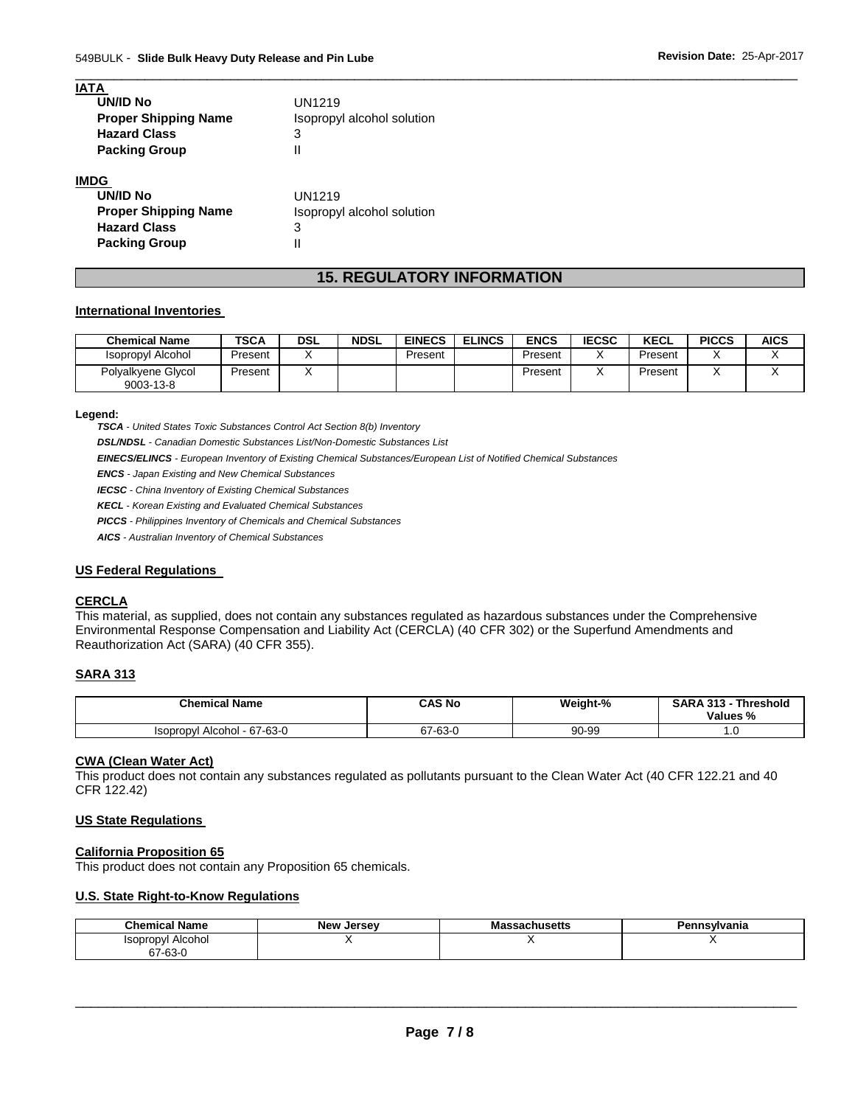| <b>IATA</b>                 |                            |
|-----------------------------|----------------------------|
| <b>UN/ID No</b>             | UN1219                     |
| <b>Proper Shipping Name</b> | Isopropyl alcohol solution |
| <b>Hazard Class</b>         | 3                          |
| <b>Packing Group</b>        |                            |
| <b>IMDG</b>                 |                            |
| <b>UN/ID No</b>             | UN1219                     |
| <b>Proper Shipping Name</b> | Isopropyl alcohol solution |
| <b>Hazard Class</b>         | 3                          |

# **15. REGULATORY INFORMATION**

\_\_\_\_\_\_\_\_\_\_\_\_\_\_\_\_\_\_\_\_\_\_\_\_\_\_\_\_\_\_\_\_\_\_\_\_\_\_\_\_\_\_\_\_\_\_\_\_\_\_\_\_\_\_\_\_\_\_\_\_\_\_\_\_\_\_\_\_\_\_\_\_\_\_\_\_\_\_\_\_\_\_\_\_\_\_\_\_\_\_\_\_\_

### **International Inventories**

**Packing Group** II

| <b>Chemical Name</b>            | TSCA    | DSL | <b>NDSL</b> | <b>EINECS</b> | <b>ELINCS</b> | <b>ENCS</b> | <b>IECSC</b> | <b>KECL</b> | <b>PICCS</b> | <b>AICS</b> |
|---------------------------------|---------|-----|-------------|---------------|---------------|-------------|--------------|-------------|--------------|-------------|
| Isopropyl Alcohol               | Present |     |             | Present       |               | Present     |              | Present     |              |             |
| Polyalkyene Glycol<br>9003-13-8 | Present |     |             |               |               | Present     |              | Present     |              |             |

### **Legend:**

*TSCA - United States Toxic Substances Control Act Section 8(b) Inventory* 

*DSL/NDSL - Canadian Domestic Substances List/Non-Domestic Substances List* 

*EINECS/ELINCS - European Inventory of Existing Chemical Substances/European List of Notified Chemical Substances* 

*ENCS - Japan Existing and New Chemical Substances* 

*IECSC - China Inventory of Existing Chemical Substances* 

*KECL - Korean Existing and Evaluated Chemical Substances* 

*PICCS - Philippines Inventory of Chemicals and Chemical Substances* 

*AICS - Australian Inventory of Chemical Substances* 

### **US Federal Regulations**

### **CERCLA**

This material, as supplied, does not contain any substances regulated as hazardous substances under the Comprehensive Environmental Response Compensation and Liability Act (CERCLA) (40 CFR 302) or the Superfund Amendments and Reauthorization Act (SARA) (40 CFR 355).

### **SARA 313**

| <b>Chemical Name</b>                  | CAS No       | Weight-% | <b>SARA 313 -</b><br><b>Threshold</b><br>Values % |
|---------------------------------------|--------------|----------|---------------------------------------------------|
| Alcohol - 67-63-0<br><b>Isopropyl</b> | 7-63-0<br>67 | 90-99    | ں. ا                                              |

### **CWA (Clean Water Act)**

This product does not contain any substances regulated as pollutants pursuant to the Clean Water Act (40 CFR 122.21 and 40 CFR 122.42)

### **US State Regulations**

### **California Proposition 65**

This product does not contain any Proposition 65 chemicals.

### **U.S. State Right-to-Know Regulations**

| <b>Chemical Name</b>        | <b>New</b><br>Jersev | asachusetts۔۔۔۔<br>ма | Pennsylvania |
|-----------------------------|----------------------|-----------------------|--------------|
| Alcohol<br><b>Isopropyl</b> |                      |                       |              |
| --<br>$7 - 63 - 0$          |                      |                       |              |